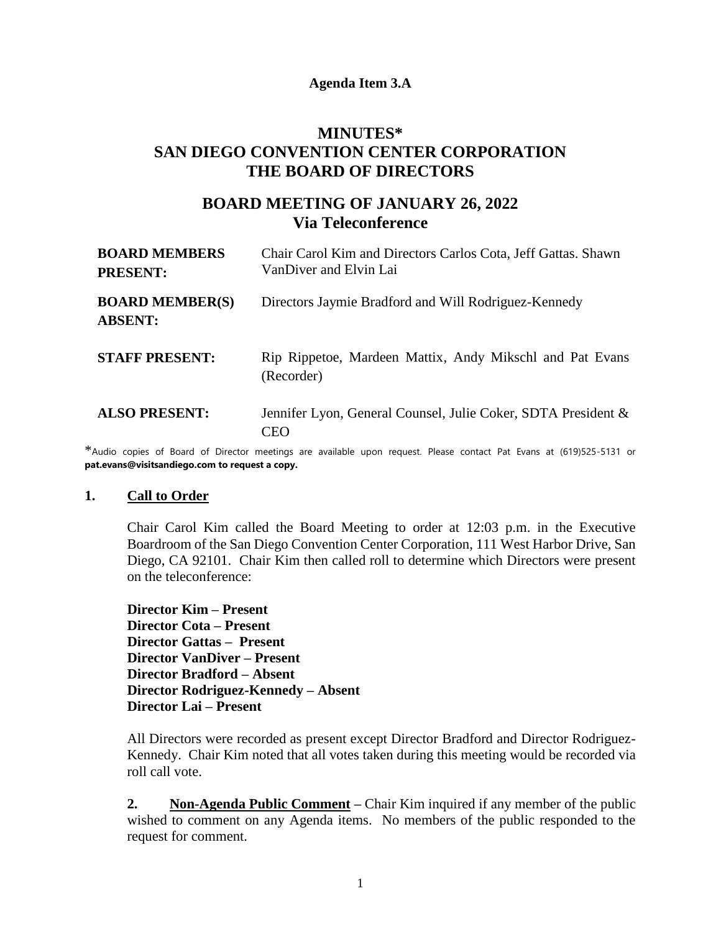### **Agenda Item 3.A**

# **MINUTES\* SAN DIEGO CONVENTION CENTER CORPORATION THE BOARD OF DIRECTORS**

# **BOARD MEETING OF JANUARY 26, 2022 Via Teleconference**

| <b>BOARD MEMBERS</b><br><b>PRESENT:</b>  | Chair Carol Kim and Directors Carlos Cota, Jeff Gattas. Shawn<br>VanDiver and Elvin Lai |
|------------------------------------------|-----------------------------------------------------------------------------------------|
| <b>BOARD MEMBER(S)</b><br><b>ABSENT:</b> | Directors Jaymie Bradford and Will Rodriguez-Kennedy                                    |
| <b>STAFF PRESENT:</b>                    | Rip Rippetoe, Mardeen Mattix, Andy Mikschl and Pat Evans<br>(Recorder)                  |
| <b>ALSO PRESENT:</b>                     | Jennifer Lyon, General Counsel, Julie Coker, SDTA President &<br>CEO                    |

\*Audio copies of Board of Director meetings are available upon request. Please contact Pat Evans at (619)525-5131 or **pat.evans@visitsandiego.com to request a copy.**

#### **1. Call to Order**

Chair Carol Kim called the Board Meeting to order at 12:03 p.m. in the Executive Boardroom of the San Diego Convention Center Corporation, 111 West Harbor Drive, San Diego, CA 92101. Chair Kim then called roll to determine which Directors were present on the teleconference:

**Director Kim – Present Director Cota – Present Director Gattas – Present Director VanDiver – Present Director Bradford – Absent Director Rodriguez-Kennedy – Absent Director Lai – Present**

All Directors were recorded as present except Director Bradford and Director Rodriguez-Kennedy. Chair Kim noted that all votes taken during this meeting would be recorded via roll call vote.

**2. Non-Agenda Public Comment –** Chair Kim inquired if any member of the public wished to comment on any Agenda items. No members of the public responded to the request for comment.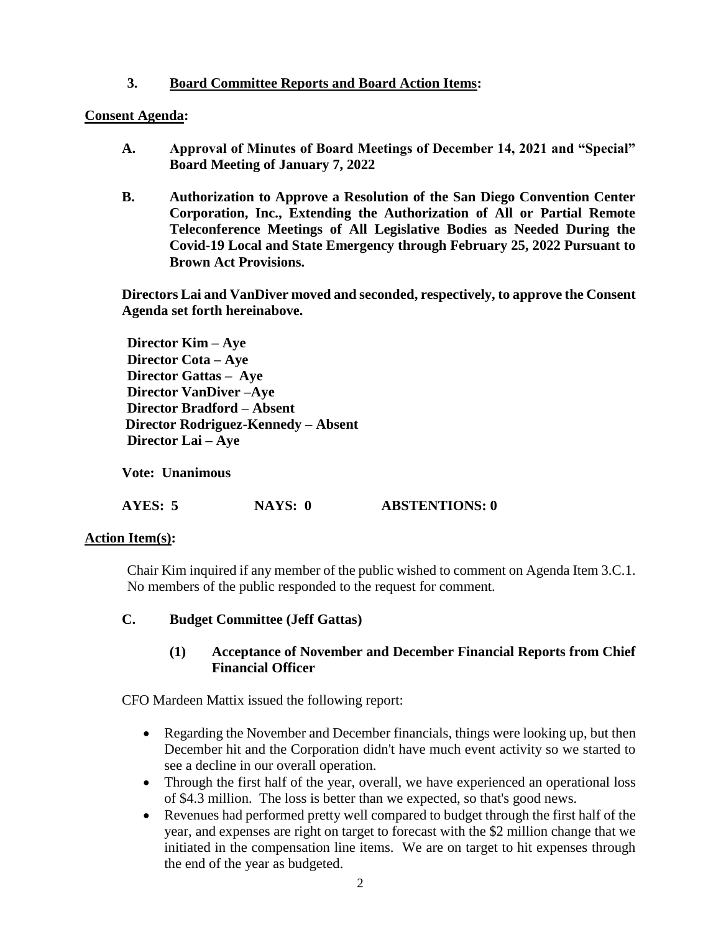### **3. Board Committee Reports and Board Action Items:**

### **Consent Agenda:**

- **A. Approval of Minutes of Board Meetings of December 14, 2021 and "Special" Board Meeting of January 7, 2022**
- **B. Authorization to Approve a Resolution of the San Diego Convention Center Corporation, Inc., Extending the Authorization of All or Partial Remote Teleconference Meetings of All Legislative Bodies as Needed During the Covid-19 Local and State Emergency through February 25, 2022 Pursuant to Brown Act Provisions.**

**Directors Lai and VanDiver moved and seconded, respectively, to approve the Consent Agenda set forth hereinabove.**

**Director Kim – Aye Director Cota – Aye Director Gattas – Aye Director VanDiver –Aye Director Bradford – Absent Director Rodriguez-Kennedy – Absent Director Lai – Aye**

**Vote: Unanimous**

**AYES: 5 NAYS: 0 ABSTENTIONS: 0**

### **Action Item(s):**

Chair Kim inquired if any member of the public wished to comment on Agenda Item 3.C.1. No members of the public responded to the request for comment.

**C. Budget Committee (Jeff Gattas)** 

### **(1) Acceptance of November and December Financial Reports from Chief Financial Officer**

CFO Mardeen Mattix issued the following report:

- Regarding the November and December financials, things were looking up, but then December hit and the Corporation didn't have much event activity so we started to see a decline in our overall operation.
- Through the first half of the year, overall, we have experienced an operational loss of \$4.3 million. The loss is better than we expected, so that's good news.
- Revenues had performed pretty well compared to budget through the first half of the year, and expenses are right on target to forecast with the \$2 million change that we initiated in the compensation line items. We are on target to hit expenses through the end of the year as budgeted.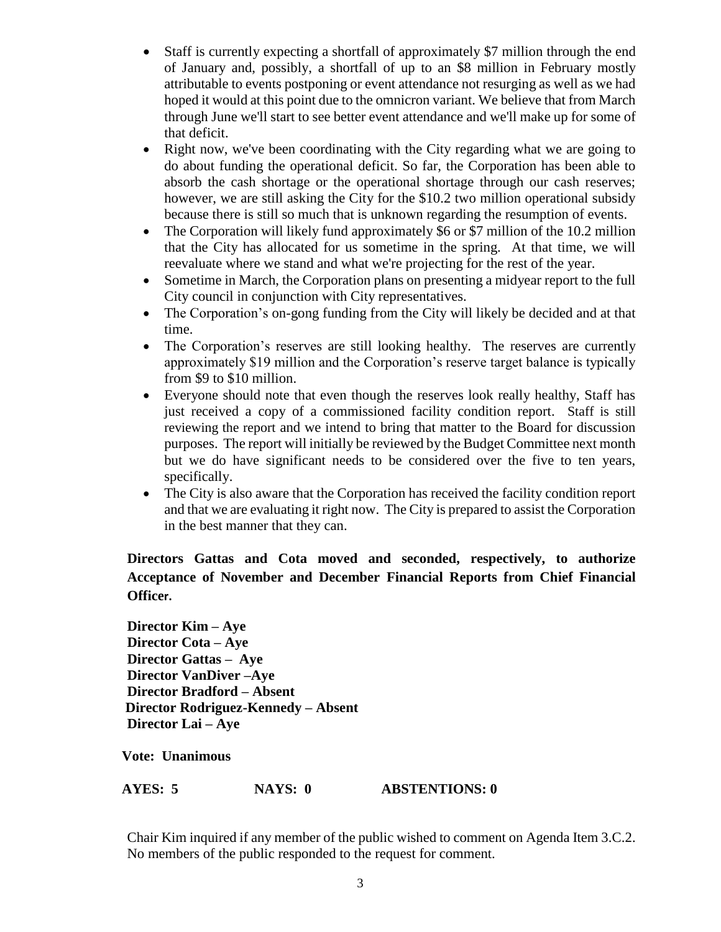- Staff is currently expecting a shortfall of approximately \$7 million through the end of January and, possibly, a shortfall of up to an \$8 million in February mostly attributable to events postponing or event attendance not resurging as well as we had hoped it would at this point due to the omnicron variant. We believe that from March through June we'll start to see better event attendance and we'll make up for some of that deficit.
- Right now, we've been coordinating with the City regarding what we are going to do about funding the operational deficit. So far, the Corporation has been able to absorb the cash shortage or the operational shortage through our cash reserves; however, we are still asking the City for the \$10.2 two million operational subsidy because there is still so much that is unknown regarding the resumption of events.
- The Corporation will likely fund approximately \$6 or \$7 million of the 10.2 million that the City has allocated for us sometime in the spring. At that time, we will reevaluate where we stand and what we're projecting for the rest of the year.
- Sometime in March, the Corporation plans on presenting a midyear report to the full City council in conjunction with City representatives.
- The Corporation's on-gong funding from the City will likely be decided and at that time.
- The Corporation's reserves are still looking healthy. The reserves are currently approximately \$19 million and the Corporation's reserve target balance is typically from \$9 to \$10 million.
- Everyone should note that even though the reserves look really healthy, Staff has just received a copy of a commissioned facility condition report. Staff is still reviewing the report and we intend to bring that matter to the Board for discussion purposes. The report will initially be reviewed by the Budget Committee next month but we do have significant needs to be considered over the five to ten years, specifically.
- The City is also aware that the Corporation has received the facility condition report and that we are evaluating it right now. The City is prepared to assist the Corporation in the best manner that they can.

# **Directors Gattas and Cota moved and seconded, respectively, to authorize Acceptance of November and December Financial Reports from Chief Financial Officer.**

**Director Kim – Aye Director Cota – Aye Director Gattas – Aye Director VanDiver –Aye Director Bradford – Absent Director Rodriguez-Kennedy – Absent Director Lai – Aye**

**Vote: Unanimous**

**AYES: 5 NAYS: 0 ABSTENTIONS: 0**

Chair Kim inquired if any member of the public wished to comment on Agenda Item 3.C.2. No members of the public responded to the request for comment.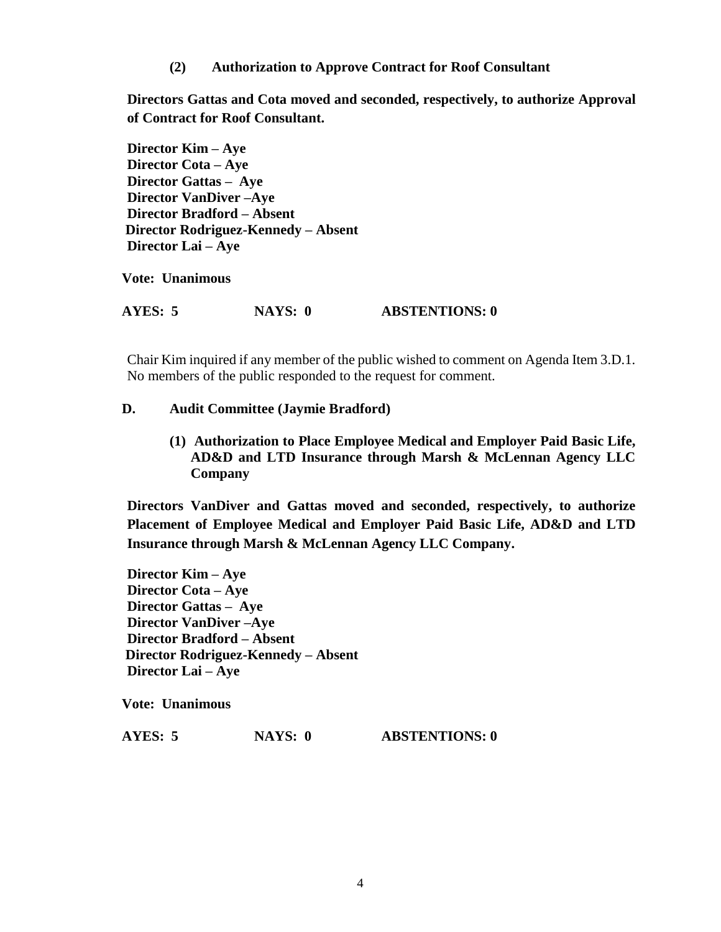**(2) Authorization to Approve Contract for Roof Consultant**

**Directors Gattas and Cota moved and seconded, respectively, to authorize Approval of Contract for Roof Consultant.**

**Director Kim – Aye Director Cota – Aye Director Gattas – Aye Director VanDiver –Aye Director Bradford – Absent Director Rodriguez-Kennedy – Absent Director Lai – Aye**

**Vote: Unanimous**

**AYES: 5 NAYS: 0 ABSTENTIONS: 0**

Chair Kim inquired if any member of the public wished to comment on Agenda Item 3.D.1. No members of the public responded to the request for comment.

### **D. Audit Committee (Jaymie Bradford)**

**(1) Authorization to Place Employee Medical and Employer Paid Basic Life, AD&D and LTD Insurance through Marsh & McLennan Agency LLC Company**

**Directors VanDiver and Gattas moved and seconded, respectively, to authorize Placement of Employee Medical and Employer Paid Basic Life, AD&D and LTD Insurance through Marsh & McLennan Agency LLC Company.**

**Director Kim – Aye Director Cota – Aye Director Gattas – Aye Director VanDiver –Aye Director Bradford – Absent Director Rodriguez-Kennedy – Absent Director Lai – Aye**

**Vote: Unanimous**

**AYES: 5 NAYS: 0 ABSTENTIONS: 0**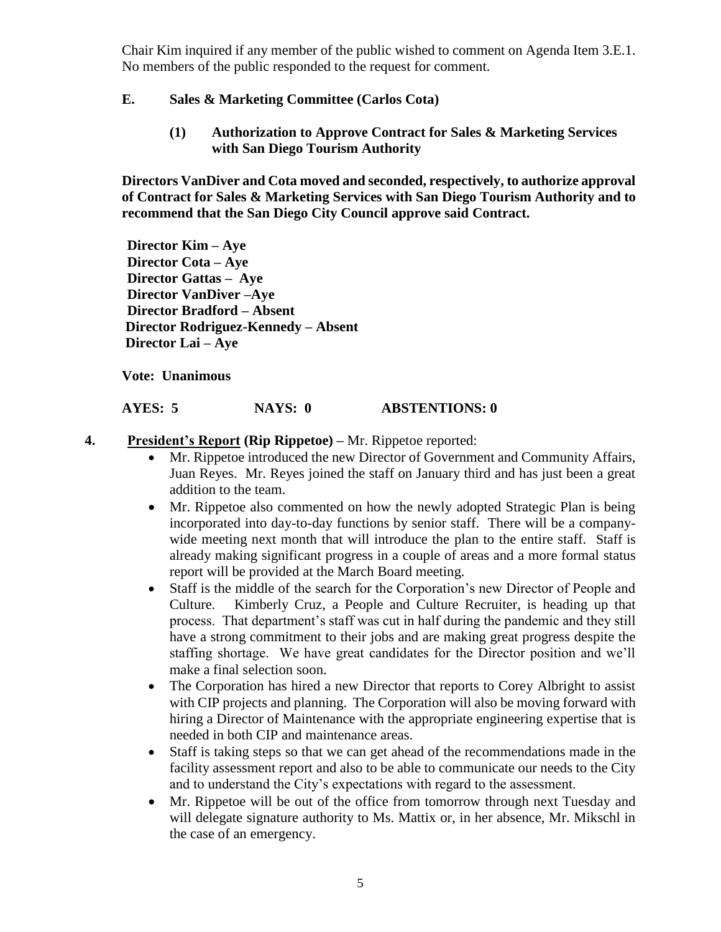Chair Kim inquired if any member of the public wished to comment on Agenda Item 3.E.1. No members of the public responded to the request for comment.

## **E. Sales & Marketing Committee (Carlos Cota)**

**(1) Authorization to Approve Contract for Sales & Marketing Services with San Diego Tourism Authority**

**Directors VanDiver and Cota moved and seconded, respectively, to authorize approval of Contract for Sales & Marketing Services with San Diego Tourism Authority and to recommend that the San Diego City Council approve said Contract.**

**Director Kim – Aye Director Cota – Aye Director Gattas – Aye Director VanDiver –Aye Director Bradford – Absent Director Rodriguez-Kennedy – Absent Director Lai – Aye**

**Vote: Unanimous**

# **AYES: 5 NAYS: 0 ABSTENTIONS: 0**

- **4. President's Report (Rip Rippetoe) –** Mr. Rippetoe reported:
	- Mr. Rippetoe introduced the new Director of Government and Community Affairs, Juan Reyes. Mr. Reyes joined the staff on January third and has just been a great addition to the team.
	- Mr. Rippetoe also commented on how the newly adopted Strategic Plan is being incorporated into day-to-day functions by senior staff. There will be a companywide meeting next month that will introduce the plan to the entire staff. Staff is already making significant progress in a couple of areas and a more formal status report will be provided at the March Board meeting.
	- Staff is the middle of the search for the Corporation's new Director of People and Culture. Kimberly Cruz, a People and Culture Recruiter, is heading up that process. That department's staff was cut in half during the pandemic and they still have a strong commitment to their jobs and are making great progress despite the staffing shortage. We have great candidates for the Director position and we'll make a final selection soon.
	- The Corporation has hired a new Director that reports to Corey Albright to assist with CIP projects and planning. The Corporation will also be moving forward with hiring a Director of Maintenance with the appropriate engineering expertise that is needed in both CIP and maintenance areas.
	- Staff is taking steps so that we can get ahead of the recommendations made in the facility assessment report and also to be able to communicate our needs to the City and to understand the City's expectations with regard to the assessment.
	- Mr. Rippetoe will be out of the office from tomorrow through next Tuesday and will delegate signature authority to Ms. Mattix or, in her absence, Mr. Mikschl in the case of an emergency.